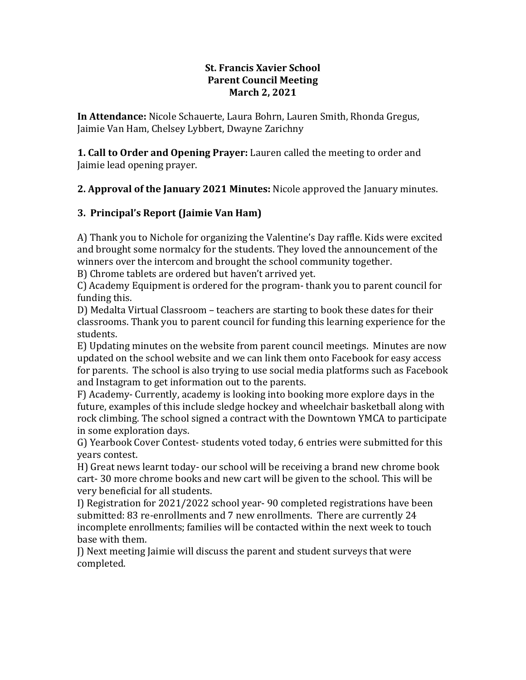#### **St. Francis Xavier School Parent Council Meeting March 2, 2021**

**In Attendance:** Nicole Schauerte, Laura Bohrn, Lauren Smith, Rhonda Gregus, Jaimie Van Ham, Chelsey Lybbert, Dwayne Zarichny

**1. Call to Order and Opening Prayer:** Lauren called the meeting to order and Jaimie lead opening prayer.

**2. Approval of the January 2021 Minutes:** Nicole approved the January minutes.

# **3. Principal's Report (Jaimie Van Ham)**

A) Thank you to Nichole for organizing the Valentine's Day raffle. Kids were excited and brought some normalcy for the students. They loved the announcement of the winners over the intercom and brought the school community together.

B) Chrome tablets are ordered but haven't arrived yet.

C) Academy Equipment is ordered for the program- thank you to parent council for funding this.

D) Medalta Virtual Classroom – teachers are starting to book these dates for their classrooms. Thank you to parent council for funding this learning experience for the students.

E) Updating minutes on the website from parent council meetings. Minutes are now updated on the school website and we can link them onto Facebook for easy access for parents. The school is also trying to use social media platforms such as Facebook and Instagram to get information out to the parents.

F) Academy- Currently, academy is looking into booking more explore days in the future, examples of this include sledge hockey and wheelchair basketball along with rock climbing. The school signed a contract with the Downtown YMCA to participate in some exploration days.

G) Yearbook Cover Contest- students voted today, 6 entries were submitted for this years contest.

H) Great news learnt today- our school will be receiving a brand new chrome book cart- 30 more chrome books and new cart will be given to the school. This will be very beneficial for all students.

I) Registration for 2021/2022 school year- 90 completed registrations have been submitted: 83 re-enrollments and 7 new enrollments. There are currently 24 incomplete enrollments; families will be contacted within the next week to touch base with them.

J) Next meeting Jaimie will discuss the parent and student surveys that were completed.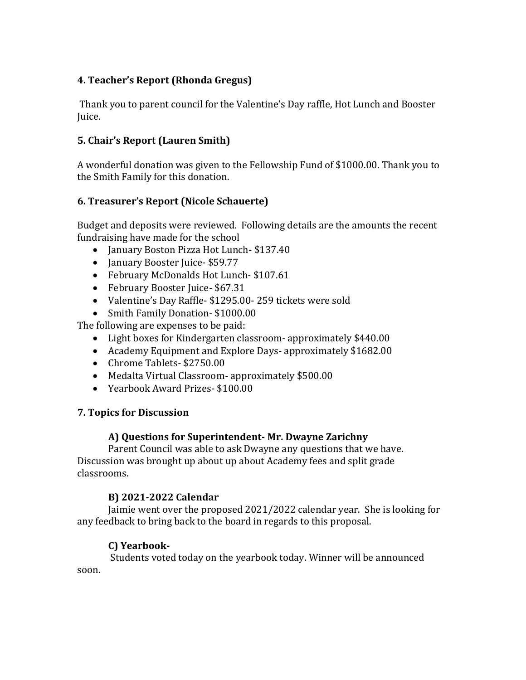## **4. Teacher's Report (Rhonda Gregus)**

Thank you to parent council for the Valentine's Day raffle, Hot Lunch and Booster Juice.

## **5. Chair's Report (Lauren Smith)**

A wonderful donation was given to the Fellowship Fund of \$1000.00. Thank you to the Smith Family for this donation.

## **6. Treasurer's Report (Nicole Schauerte)**

Budget and deposits were reviewed. Following details are the amounts the recent fundraising have made for the school

- January Boston Pizza Hot Lunch- \$137.40
- January Booster Juice- \$59.77
- February McDonalds Hot Lunch- \$107.61
- February Booster Juice- \$67.31
- Valentine's Day Raffle- \$1295.00- 259 tickets were sold
- Smith Family Donation-\$1000.00

The following are expenses to be paid:

- Light boxes for Kindergarten classroom- approximately \$440.00
- Academy Equipment and Explore Days- approximately \$1682.00
- Chrome Tablets- \$2750.00
- Medalta Virtual Classroom- approximately \$500.00
- Yearbook Award Prizes- \$100.00

## **7. Topics for Discussion**

## **A) Questions for Superintendent- Mr. Dwayne Zarichny**

Parent Council was able to ask Dwayne any questions that we have. Discussion was brought up about up about Academy fees and split grade classrooms.

## **B) 2021-2022 Calendar**

Jaimie went over the proposed 2021/2022 calendar year. She is looking for any feedback to bring back to the board in regards to this proposal.

## **C) Yearbook-**

Students voted today on the yearbook today. Winner will be announced soon.